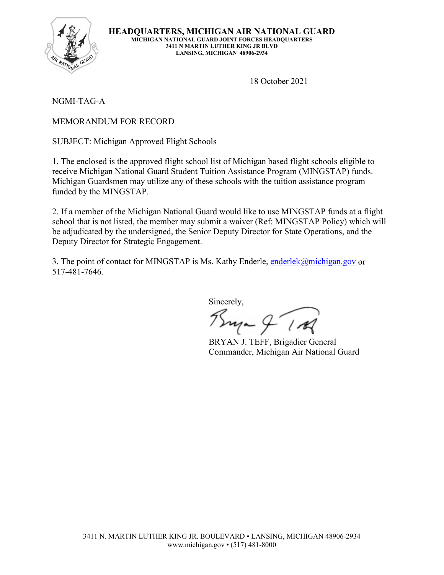

**HEADQUARTERS, MICHIGAN AIR NATIONAL GUARD MICHIGAN NATIONAL GUARD JOINT FORCES HEADQUARTERS 3411 N MARTIN LUTHER KING JR BLVD LANSING, MICHIGAN 48906-2934**

18 October 2021

NGMI-TAG-A

MEMORANDUM FOR RECORD

SUBJECT: Michigan Approved Flight Schools

1. The enclosed is the approved flight school list of Michigan based flight schools eligible to receive Michigan National Guard Student Tuition Assistance Program (MINGSTAP) funds. Michigan Guardsmen may utilize any of these schools with the tuition assistance program funded by the MINGSTAP.

2. If a member of the Michigan National Guard would like to use MINGSTAP funds at a flight school that is not listed, the member may submit a waiver (Ref: MINGSTAP Policy) which will be adjudicated by the undersigned, the Senior Deputy Director for State Operations, and the Deputy Director for Strategic Engagement.

3. The point of contact for MINGSTAP is Ms. Kathy Enderle, [enderlek@michigan.gov](mailto:enderlek@michigan.gov) or 517-481-7646.

Sincerely,

 $P_{\text{true}} \nsubseteq P$ 

BRYAN J. TEFF, Brigadier General Commander, Michigan Air National Guard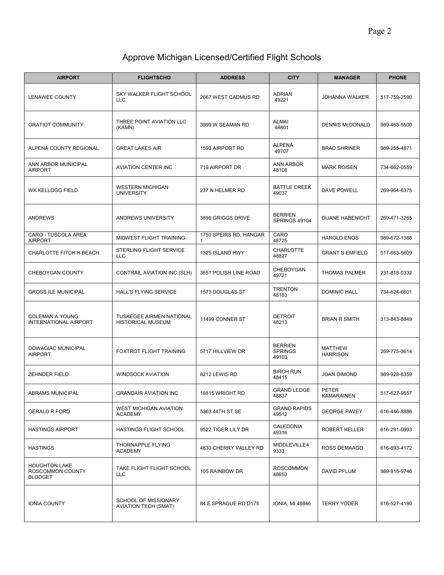## Approve Michigan Licensed/Certified Flight Schools

| <b>AIRPORT</b>                                             | <b>FLIGHTSCHO</b>                                           | <b>ADDRESS</b>              | <b>CITY</b>                               | <b>MANAGER</b>                    | <b>PHONE</b> |
|------------------------------------------------------------|-------------------------------------------------------------|-----------------------------|-------------------------------------------|-----------------------------------|--------------|
| <b>LENAWEE COUNTY</b>                                      | SKY WALKER FLIGHT SCHOOL<br><b>LLC</b>                      | 2667 WEST CADMUS RD         | <b>ADRIAN</b><br>49221                    | <b>JOHANNA WALKER</b>             | 517-759-2590 |
| <b>GRATIOT COMMUNITY</b>                                   | THREE POINT AVIATION LLC<br>(KAMN)                          | 3999 W SEAMAN RD            | <b>ALMAI</b><br>48801                     | <b>DENNIS McDONALD</b>            | 989-463-5500 |
| ALPENA COUNTY REGIONAL                                     | <b>GREAT LAKES AIR</b>                                      | 1593 AIRPORT RD             | <b>ALPENA</b><br>49707                    | <b>BRAD SHRINER</b>               | 989-255-4871 |
| ANN ARBOR MUNICIPAL<br><b>AIRPORT</b>                      | <b>AVIATION CENTER INC</b>                                  | 719 AIRPORT DR              | <b>ANN ARBOR</b><br>48108                 | <b>MARK ROISEN</b>                | 734-662-0559 |
| <b>WK KELLOGG FIELD</b>                                    | <b>WESTERN MICHIGAN</b><br><b>UNIVERSITY</b>                | 237 N HELMER RD             | <b>BATTLE CREEK</b><br>49037              | DAVE POWELL                       | 269-964-6375 |
| <b>ANDREWS</b>                                             | ANDREWS UNIVERSITY                                          | 3898 GRIGGS DRIVE           | <b>BERRIEN</b><br>SPRINGS 49104           | <b>DUANE HABENICHT</b>            | 269-471-3265 |
| CARO - TUSCOLA AREA<br><b>AIRPORT</b>                      | MIDWEST FLIGHT TRAINING                                     | 1750 SPEIRS RD, HANGAR<br>1 | CARO<br>48725                             | <b>HAROLD ENOS</b>                | 989-672-1388 |
| CHARLOTTE FITCH H BEACH                                    | STERLING FLIGHT SERVICE<br><b>LLC</b>                       | 1325 ISLAND HWY             | <b>CHARLOTTE</b><br>48827                 | <b>GRANT S EMFIELD</b>            | 517-663-5609 |
| CHEBOYGAN COUNTY                                           | CONTRAIL AVIATION INC (SLH)                                 | 3651 POLISH LINE ROAD       | CHEBOYGAN<br>49721                        | <b>THOMAS PALMER</b>              | 231-818-0332 |
| <b>GROSS ILE MUNICIPAL</b>                                 | HALL'S FLYING SERVICE                                       | 1573 DOUGLAS ST             | <b>TRENTON</b><br>48183                   | <b>DOMINIC HALL</b>               | 734-624-6601 |
| <b>COLEMAN A YOUNG</b><br><b>INTERNATIONAL AIRPORT</b>     | <b>TUSKEGEE AIRMEN NATIONAL</b><br><b>HISTORICAL MUSEUM</b> | 11499 CONNER ST             | <b>DETROIT</b><br>48213                   | <b>BRIAN R SMITH</b>              | 313-843-8849 |
| DOWAGIAC MUNICIPAL<br><b>AIRPORT</b>                       | FOXTROT FLIGHT TRAINING                                     | 5717 HILLVIEW DR            | <b>BERRIEN</b><br><b>SPRINGS</b><br>49103 | <b>MATTHEW</b><br><b>HARRISON</b> | 269-775-3614 |
| <b>ZEHNDER FIELD</b>                                       | <b>WINDSOCK AVIATION</b>                                    | 8212 LEWIS RD               | <b>BIRCH RUN</b><br>48415                 | <b>JOAN DIMOND</b>                | 989-928-8359 |
| ABRAMS MUNICIPAL                                           | <b>GRANDAIR AVIATION INC</b>                                | 16815 WRIGHT RD             | <b>GRAND LEDGE</b><br>48837               | <b>PETER</b><br>KAMARAINEN        | 517-627-9557 |
| <b>GERALD R FORD</b>                                       | <b>WEST MICHIGAN AVIATION</b><br><b>ACADEMY</b>             | 5363 44TH ST SE             | <b>GRAND RAPIDS</b><br>49512              | <b>GEORGE PAVEY</b>               | 616-446-8886 |
| <b>HASTINGS AIRPORT</b>                                    | HASTINGS FLIGHT SCHOOL                                      | 9522 TIGER LILY DR          | CALEDONIA<br>49316                        | ROBERT KELLER                     | 616-291-0993 |
| <b>HASTINGS</b>                                            | THORNAPPLE FLYING<br><b>ACADEMY</b>                         | 4833 CHERRY VALLEY RD       | MIDDLEVILLE4<br>9333                      | ROSS DEMAAGD                      | 616-893-4172 |
| <b>HOUGHTON LAKE</b><br>ROSCOMMON COUNTY<br><b>BLODGET</b> | TAKE FLIGHT FLIGHT SCHOOL<br><b>LLC</b>                     | 105 RAINBOW DR              | <b>ROSCOMMON</b><br>48653                 | DAVID PFLUM                       | 989-915-9746 |
| <b>IONIA COUNTY</b>                                        | SCHOOL OF MISSIONARY<br><b>AVIATION TECH (SMAT)</b>         | 84 E SPRAGUE RD D175        | <b>IONIA, MI 48846</b>                    | <b>TERRY YODER</b>                | 616-527-4180 |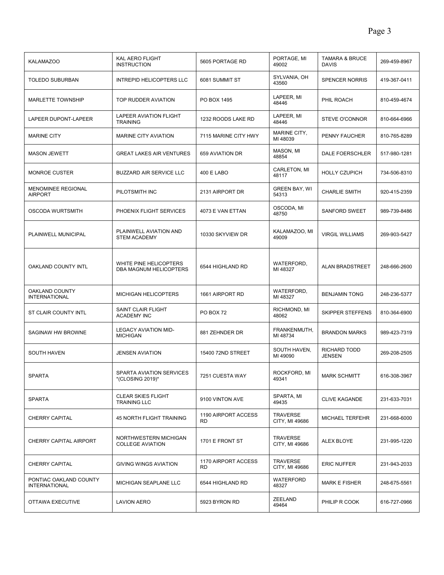| <b>KALAMAZOO</b>                               | KAL AERO FLIGHT<br><b>INSTRUCTION</b>            | 5605 PORTAGE RD                  | PORTAGE, MI<br>49002              | <b>TAMARA &amp; BRUCE</b><br><b>DAVIS</b> | 269-459-8967 |
|------------------------------------------------|--------------------------------------------------|----------------------------------|-----------------------------------|-------------------------------------------|--------------|
| <b>TOLEDO SUBURBAN</b>                         | <b>INTREPID HELICOPTERS LLC</b>                  | 6081 SUMMIT ST                   | SYLVANIA, OH<br>43560             | <b>SPENCER NORRIS</b>                     | 419-367-0411 |
| <b>MARLETTE TOWNSHIP</b>                       | TOP RUDDER AVIATION                              | PO BOX 1495                      | LAPEER, MI<br>48446               | PHIL ROACH                                | 810-459-4674 |
| LAPEER DUPONT-LAPEER                           | <b>LAPEER AVIATION FLIGHT</b><br><b>TRAINING</b> | 1232 ROODS LAKE RD               | LAPEER, MI<br>48446               | <b>STEVE O'CONNOR</b>                     | 810-664-6966 |
| <b>MARINE CITY</b>                             | <b>MARINE CITY AVIATION</b>                      | 7115 MARINE CITY HWY             | MARINE CITY,<br>MI 48039          | PENNY FAUCHER                             | 810-765-8289 |
| <b>MASON JEWETT</b>                            | <b>GREAT LAKES AIR VENTURES</b>                  | 659 AVIATION DR                  | MASON, MI<br>48854                | DALE FOERSCHLER                           | 517-980-1281 |
| <b>MONROE CUSTER</b>                           | <b>BUZZARD AIR SERVICE LLC</b>                   | 400 E LABO                       | CARLETON, MI<br>48117             | <b>HOLLY CZUPICH</b>                      | 734-506-8310 |
| <b>MENOMINEE REGIONAL</b><br><b>AIRPORT</b>    | PILOTSMITH INC                                   | 2131 AIRPORT DR                  | <b>GREEN BAY, WI</b><br>54313     | <b>CHARLIE SMITH</b>                      | 920-415-2359 |
| <b>OSCODA WURTSMITH</b>                        | PHOENIX FLIGHT SERVICES                          | 4073 E VAN ETTAN                 | OSCODA, MI<br>48750               | <b>SANFORD SWEET</b>                      | 989-739-8486 |
| PLAINWELL MUNICIPAL                            | PLAINWELL AVIATION AND<br><b>STEM ACADEMY</b>    | 10330 SKYVIEW DR                 | KALAMAZOO, MI<br>49009            | <b>VIRGIL WILLIAMS</b>                    | 269-903-5427 |
| OAKLAND COUNTY INTL                            | WHITE PINE HELICOPTERS<br>DBA MAGNUM HELICOPTERS | 6544 HIGHLAND RD                 | WATERFORD,<br>MI 48327            | <b>ALAN BRADSTREET</b>                    | 248-666-2600 |
| OAKLAND COUNTY<br><b>INTERNATIONAL</b>         | <b>MICHIGAN HELICOPTERS</b>                      | 1661 AIRPORT RD                  | WATERFORD,<br>MI 48327            | <b>BENJAMIN TONG</b>                      | 248-236-5377 |
| ST CLAIR COUNTY INTL                           | SAINT CLAIR FLIGHT<br><b>ACADEMY INC</b>         | <b>PO BOX 72</b>                 | RICHMOND, MI<br>48062             | <b>SKIPPER STEFFENS</b>                   | 810-364-6900 |
| SAGINAW HW BROWNE                              | <b>LEGACY AVIATION MID-</b><br><b>MICHIGAN</b>   | 881 ZEHNDER DR                   | FRANKENMUTH,<br>MI 48734          | <b>BRANDON MARKS</b>                      | 989-423-7319 |
| <b>SOUTH HAVEN</b>                             | <b>JENSEN AVIATION</b>                           | 15400 72ND STREET                | SOUTH HAVEN,<br>MI 49090          | <b>RICHARD TODD</b><br><b>JENSEN</b>      | 269-208-2505 |
| <b>SPARTA</b>                                  | SPARTA AVIATION SERVICES<br>*(CLOSING 2019)*     | 7251 CUESTA WAY                  | ROCKFORD, MI<br>49341             | <b>MARK SCHMITT</b>                       | 616-308-3967 |
| <b>SPARTA</b>                                  | <b>CLEAR SKIES FLIGHT</b><br><b>TRAINING LLC</b> | 9100 VINTON AVE                  | SPARTA, MI<br>49435               | <b>CLIVE KAGANDE</b>                      | 231-633-7031 |
| <b>CHERRY CAPITAL</b>                          | 45 NORTH FLIGHT TRAINING                         | 1190 AIRPORT ACCESS<br><b>RD</b> | <b>TRAVERSE</b><br>CITY, MI 49686 | MICHAEL TERFEHR                           | 231-668-6000 |
| CHERRY CAPITAL AIRPORT                         | NORTHWESTERN MICHIGAN<br><b>COLLEGE AVIATION</b> | 1701 E FRONT ST                  | <b>TRAVERSE</b><br>CITY, MI 49686 | ALEX BLOYE                                | 231-995-1220 |
| <b>CHERRY CAPITAL</b>                          | <b>GIVING WINGS AVIATION</b>                     | 1170 AIRPORT ACCESS<br><b>RD</b> | <b>TRAVERSE</b><br>CITY, MI 49686 | <b>ERIC NUFFER</b>                        | 231-943-2033 |
| PONTIAC OAKLAND COUNTY<br><b>INTERNATIONAL</b> | MICHIGAN SEAPLANE LLC                            | 6544 HIGHLAND RD                 | WATERFORD<br>48327                | <b>MARK E FISHER</b>                      | 248-675-5561 |
| OTTAWA EXECUTIVE                               | <b>LAVION AERO</b>                               | 5923 BYRON RD                    | ZEELAND<br>49464                  | PHILIP R COOK                             | 616-727-0966 |